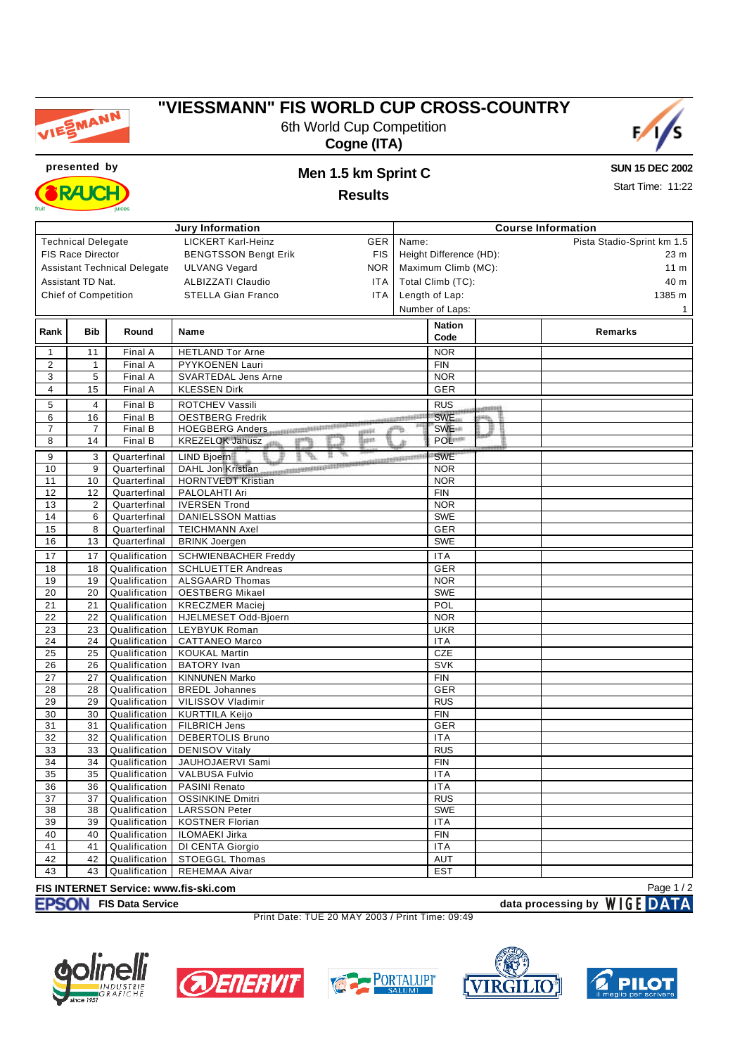

### **"VIESSMANN" FIS WORLD CUP CROSS-COUNTRY**

6th World Cup Competition **Cogne (ITA)**



**SUN 15 DEC 2002**

Start Time: 11:22

**presented by Men 1.5 km Sprint C RAJCH** 

## **Results**

| <b>Jury Information</b>                                             |                             |                                |                                                |                                     | <b>Course Information</b>  |         |         |  |  |  |  |
|---------------------------------------------------------------------|-----------------------------|--------------------------------|------------------------------------------------|-------------------------------------|----------------------------|---------|---------|--|--|--|--|
| <b>LICKERT Karl-Heinz</b><br><b>Technical Delegate</b><br>GER       |                             |                                |                                                | Name:                               | Pista Stadio-Sprint km 1.5 |         |         |  |  |  |  |
| <b>FIS Race Director</b><br><b>BENGTSSON Bengt Erik</b><br>FIS.     |                             |                                |                                                | Height Difference (HD):             | 23 m                       |         |         |  |  |  |  |
| <b>Assistant Technical Delegate</b><br><b>ULVANG Vegard</b><br>NOR. |                             |                                |                                                | Maximum Climb (MC):                 | 11 <sub>m</sub>            |         |         |  |  |  |  |
|                                                                     | Assistant TD Nat.           |                                | <b>ALBIZZATI Claudio</b><br>ITA                |                                     |                            |         | 40 m    |  |  |  |  |
|                                                                     | <b>Chief of Competition</b> |                                | <b>STELLA Gian Franco</b><br>ITA               | Total Climb (TC):<br>Length of Lap: |                            |         | 1385 m  |  |  |  |  |
|                                                                     |                             |                                |                                                |                                     |                            |         |         |  |  |  |  |
|                                                                     |                             |                                |                                                |                                     | Number of Laps:            |         | 1       |  |  |  |  |
| Rank                                                                | <b>Bib</b>                  | Round                          | Name                                           |                                     | <b>Nation</b>              |         | Remarks |  |  |  |  |
|                                                                     |                             |                                |                                                |                                     | Code                       |         |         |  |  |  |  |
| $\mathbf{1}$                                                        | 11                          | Final A                        | <b>HETLAND Tor Arne</b>                        |                                     | <b>NOR</b>                 |         |         |  |  |  |  |
| 2                                                                   | $\mathbf{1}$                | Final A                        | PYYKOENEN Lauri                                | <b>FIN</b>                          |                            |         |         |  |  |  |  |
| 3                                                                   | 5                           | Final A                        | SVARTEDAL Jens Arne                            |                                     | <b>NOR</b>                 |         |         |  |  |  |  |
| 4                                                                   | 15                          | Final A                        | <b>KLESSEN Dirk</b>                            | GER                                 |                            |         |         |  |  |  |  |
| 5                                                                   | 4                           | Final B                        | ROTCHEV Vassili                                |                                     | <b>RUS</b>                 | cessos) |         |  |  |  |  |
| 6                                                                   | 16                          | Final B                        | <b>OESTBERG Fredrik</b>                        | <b>SWE</b><br>entropolitica<br>m.   |                            |         |         |  |  |  |  |
| 7                                                                   | 7                           | Final B                        | HOEGBERG Anders<br><b>Hash</b>                 |                                     | <b>SWE</b>                 | ₽       |         |  |  |  |  |
| 8                                                                   | 14                          | Final B                        | llan<br>KREZELOK Janusz<br>gray                |                                     | POL <sup>111</sup>         |         |         |  |  |  |  |
| 9                                                                   | 3                           | Quarterfinal                   | Ħ.<br>a.<br>LIND Bjoern<br>9                   | CLASS EXCHANGES STATES              | <b>SWE</b>                 |         |         |  |  |  |  |
| 10                                                                  | 9                           | Quarterfinal                   | <b>CONTRACTORSESSES</b><br>DAHL Jon Kristian   |                                     | <b>NOR</b>                 |         |         |  |  |  |  |
| 11                                                                  | 10                          | Quarterfinal                   | <b>HORNTVEDT Kristian</b>                      |                                     | <b>NOR</b>                 |         |         |  |  |  |  |
| 12                                                                  | 12                          | Quarterfinal                   | PALOLAHTI Ari                                  |                                     | <b>FIN</b>                 |         |         |  |  |  |  |
| 13                                                                  | $\overline{2}$              | Quarterfinal                   | <b>IVERSEN Trond</b>                           | <b>NOR</b>                          |                            |         |         |  |  |  |  |
| 14                                                                  | 6                           | Quarterfinal                   | <b>DANIELSSON Mattias</b>                      |                                     | <b>SWE</b>                 |         |         |  |  |  |  |
| 15                                                                  | 8                           | Quarterfinal                   | <b>TEICHMANN Axel</b>                          |                                     | GER                        |         |         |  |  |  |  |
| 16                                                                  | 13                          | Quarterfinal                   | <b>BRINK Joergen</b>                           |                                     | SWE                        |         |         |  |  |  |  |
| 17                                                                  | 17                          | Qualification                  | <b>SCHWIENBACHER Freddy</b>                    |                                     | <b>ITA</b>                 |         |         |  |  |  |  |
| 18                                                                  | 18                          | Qualification                  | <b>SCHLUETTER Andreas</b>                      |                                     | GER                        |         |         |  |  |  |  |
| 19                                                                  | 19                          | Qualification                  | <b>ALSGAARD Thomas</b>                         |                                     | <b>NOR</b>                 |         |         |  |  |  |  |
| 20                                                                  | 20                          | Qualification                  | <b>OESTBERG Mikael</b>                         |                                     | <b>SWE</b>                 |         |         |  |  |  |  |
| 21                                                                  | 21                          | Qualification                  | <b>KRECZMER Maciej</b>                         |                                     | POL                        |         |         |  |  |  |  |
| 22                                                                  | 22                          | Qualification                  | HJELMESET Odd-Bjoern                           |                                     | <b>NOR</b>                 |         |         |  |  |  |  |
| 23                                                                  | 23                          | Qualification                  | LEYBYUK Roman                                  |                                     | <b>UKR</b>                 |         |         |  |  |  |  |
| 24                                                                  | 24                          | Qualification                  | <b>CATTANEO Marco</b>                          |                                     | <b>ITA</b>                 |         |         |  |  |  |  |
| 25                                                                  | 25                          | Qualification                  | <b>KOUKAL Martin</b>                           |                                     | CZE                        |         |         |  |  |  |  |
| 26                                                                  | 26                          | Qualification                  | <b>BATORY</b> Ivan                             |                                     | SVK                        |         |         |  |  |  |  |
| 27                                                                  | 27                          | Qualification                  | <b>KINNUNEN Marko</b>                          |                                     | <b>FIN</b>                 |         |         |  |  |  |  |
| 28                                                                  | 28                          | Qualification                  | <b>BREDL Johannes</b>                          |                                     | GER                        |         |         |  |  |  |  |
| 29                                                                  | 29                          | Qualification                  | VILISSOV Vladimir                              |                                     | <b>RUS</b>                 |         |         |  |  |  |  |
| 30                                                                  | 30                          | Qualification                  | <b>KURTTILA Keijo</b>                          |                                     | <b>FIN</b>                 |         |         |  |  |  |  |
| 31                                                                  | 31                          | Qualification                  | FILBRICH Jens                                  |                                     | GER                        |         |         |  |  |  |  |
| 32                                                                  | 32                          | Qualification                  | DEBERTOLIS Bruno                               |                                     | <b>ITA</b>                 |         |         |  |  |  |  |
| 33                                                                  | 33                          | Qualification                  | <b>DENISOV Vitaly</b>                          |                                     | <b>RUS</b>                 |         |         |  |  |  |  |
| 34                                                                  | 34                          | Qualification                  | JAUHOJAERVI Sami                               |                                     | <b>FIN</b>                 |         |         |  |  |  |  |
| 35                                                                  | 35                          | Qualification                  | <b>VALBUSA Fulvio</b>                          |                                     | <b>ITA</b>                 |         |         |  |  |  |  |
| 36                                                                  | 36                          | Qualification                  | <b>PASINI Renato</b>                           |                                     | <b>ITA</b>                 |         |         |  |  |  |  |
| 37                                                                  | 37                          | Qualification<br>Qualification | <b>OSSINKINE Dmitri</b>                        |                                     | <b>RUS</b>                 |         |         |  |  |  |  |
| 38                                                                  | 38<br>39                    | Qualification                  | <b>LARSSON Peter</b><br><b>KOSTNER Florian</b> |                                     | SWE                        |         |         |  |  |  |  |
| 39<br>40                                                            | 40                          | Qualification                  | <b>ILOMAEKI Jirka</b>                          |                                     | <b>ITA</b><br><b>FIN</b>   |         |         |  |  |  |  |
| 41                                                                  | 41                          | Qualification                  | DI CENTA Giorgio                               |                                     | <b>ITA</b>                 |         |         |  |  |  |  |
| 42                                                                  | 42                          | Qualification                  | <b>STOEGGL Thomas</b>                          |                                     | AUT                        |         |         |  |  |  |  |
| 43                                                                  | 43                          | Qualification                  | REHEMAA Aivar                                  |                                     | <b>EST</b>                 |         |         |  |  |  |  |
|                                                                     |                             |                                |                                                |                                     |                            |         |         |  |  |  |  |

# **FIS INTERNET Service: www.fis-ski.com**

**EXAMPLE DATA** Page 1 / 2

Print Date: TUE 20 MAY 2003 / Print Time: 09:49